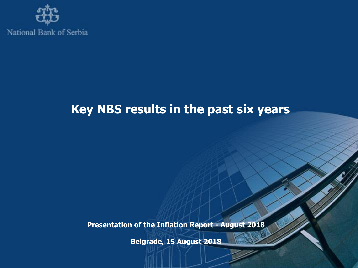

# **Key NBS results in the past six years**

**Presentation of the Inflation Report - August 2018**

**Belgrade, 15 August 2018**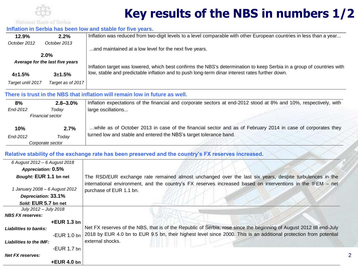

# **Key results of the NBS in numbers 1/2**

2

#### **Inflation in Serbia has been low and stable for five years.**

| 12.9%                           | 2.2%              | Inflation was reduced from two-digit levels to a level comparable with other European countries in less than a year   |
|---------------------------------|-------------------|-----------------------------------------------------------------------------------------------------------------------|
| October 2012                    | October 2013      |                                                                                                                       |
|                                 |                   | and maintained at a low level for the next five years.                                                                |
| 2.0%                            |                   |                                                                                                                       |
| Average for the last five years |                   | Inflation target was lowered, which best confirms the NBS's determination to keep Serbia in a group of countries with |
| $4 + 1.5%$                      | $3 + 1.5%$        | low, stable and predictable inflation and to push long-term dinar interest rates further down.                        |
| Target until 2017               | Target as of 2017 |                                                                                                                       |

### **There is trust in the NBS that inflation will remain low in future as well.**

| 8%               | $2.8 - 3.0\%$ | Inflation expectations of the financial and corporate sectors at end-2012 stood at 8% and 10%, respectively, with |
|------------------|---------------|-------------------------------------------------------------------------------------------------------------------|
| End-2012         | Todav         | large oscillations                                                                                                |
| Financial sector |               |                                                                                                                   |
|                  |               | while as of October 2013 in case of the financial sector and as of February 2014 in case of corporates they       |
| 10%              | 2.7%          |                                                                                                                   |
| End-2012         | Todav         | turned low and stable and entered the NBS's target tolerance band.                                                |
| Corporate sector |               |                                                                                                                   |

### **Relative stability of the exchange rate has been preserved and the country's FX reserves increased.**

| 6 August 2012 - 6 August 2018  |                                                                                                                      |
|--------------------------------|----------------------------------------------------------------------------------------------------------------------|
| Appreciation: 0.5%             |                                                                                                                      |
| Bought: EUR 1.1 bn net         | The RSD/EUR exchange rate remained almost unchanged over the last six years, despite turbulences in the              |
|                                | international environment, and the country's FX reserves increased based on interventions in the IFEM - net          |
| 1 January 2008 - 6 August 2012 | purchase of EUR 1.1 bn.                                                                                              |
| Depreciation: 33.1%            |                                                                                                                      |
| Sold: EUR 5.7 bn net           |                                                                                                                      |
| July 2012 – July 2018          |                                                                                                                      |
| <b>NBS FX reserves:</b>        |                                                                                                                      |
| $+EUR$ 1.3 bn                  |                                                                                                                      |
| <b>Liabilities to banks:</b>   | Net FX reserves of the NBS, that is of the Republic of Serbia, rose since the beginning of August 2012 till end-July |
| -EUR $1.0$ bn                  | 2018 by EUR 4.0 bn to EUR 9.5 bn, their highest level since 2000. This is an additional protection from potential    |
| <b>Liabilities to the IMF:</b> | external shocks.                                                                                                     |
| -EUR 1.7 bn                    |                                                                                                                      |
| Net FX reserves:               |                                                                                                                      |
| $+EUR$ 4.0 bn                  |                                                                                                                      |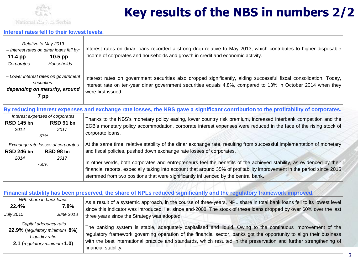

 *2014 2017* -60%

# **Key results of the NBS in numbers 2/2**

#### **Interest rates fell to their lowest levels.**

| Relative to May 2013<br>- Interest rates on dinar loans fell by:<br>11.4 $pp$<br>$10.5$ pp   | Interest rates on dinar loans recorded a strong drop relative to May 2013, which contributes to higher disposable<br>income of corporates and households and growth in credit and economic activity.                                                     |
|----------------------------------------------------------------------------------------------|----------------------------------------------------------------------------------------------------------------------------------------------------------------------------------------------------------------------------------------------------------|
| Households<br>Corporates                                                                     |                                                                                                                                                                                                                                                          |
| - Lower interest rates on government<br>securities:<br>depending on maturity, around<br>7 pp | Interest rates on government securities also dropped significantly, aiding successful fiscal consolidation. Today,<br>interest rate on ten-year dinar government securities equals 4.8%, compared to 13% in October 2014 when they<br>were first issued. |
|                                                                                              | By reducing interest expenses and exchange rate losses, the NBS gave a significant contribution to the profitability of corporates.                                                                                                                      |
| Interest expenses of corporates<br>RSD 91 bn<br><b>RSD 145 bn</b><br>2014<br>2017<br>$-37%$  | Thanks to the NBS's monetary policy easing, lower country risk premium, increased interbank competition and the<br>ECB's monetary policy accommodation, corporate interest expenses were reduced in the face of the rising stock of<br>corporate loans.  |

*Exchange rate losses of corporates* **RSD 246 bn RSD 98 bn** At the same time, relative stability of the dinar exchange rate, resulting from successful implementation of monetary and fiscal policies, pushed down exchange rate losses of corporates.

> In other words, both corporates and entrepreneurs feel the benefits of the achieved stability, as evidenced by their financial reports, especially taking into account that around 35% of profitability improvement in the period since 2015 stemmed from two positions that were significantly influenced by the central bank.

#### **Financial stability has been preserved, the share of NPLs reduced significantly and the regulatory framework improved.**

| NPL share in bank loans                                                                                    |                  | As a result of a systemic approach, in the course of three-years, NPL share in total bank loans fell to its lowest level                                                                                                                                                                                                                                                          |
|------------------------------------------------------------------------------------------------------------|------------------|-----------------------------------------------------------------------------------------------------------------------------------------------------------------------------------------------------------------------------------------------------------------------------------------------------------------------------------------------------------------------------------|
| 22.4%                                                                                                      | $7.8\%$          | since this indicator was introduced, i.e. since end-2008. The stock of these loans dropped by over 60% over the last<br>three years since the Strategy was adopted.                                                                                                                                                                                                               |
| <b>July 2015</b>                                                                                           | <b>June 2018</b> |                                                                                                                                                                                                                                                                                                                                                                                   |
| Capital adequacy ratio<br>22.9% (regulatory minimum 8%)<br>Liquidity ratio<br>2.1 (regulatory minimum 1.0) |                  | The banking system is stable, adequately capitalised and liquid. Owing to the continuous improvement of the<br>regulatory framework governing operation of the financial sector, banks got the opportunity to align their business<br>with the best international practice and standards, which resulted in the preservation and further strengthening of<br>financial stability. |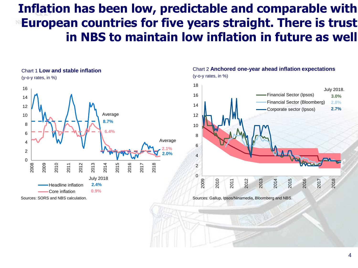### **Inflation has been low, predictable and comparable with European countries for five years straight. There is trust in NBS to maintain low inflation in future as well**



Chart 2 **Anchored one-year ahead inflation expectations** (y-o-y rates, in %)



Sources: Gallup, Ipsos/Ninamedia, Bloomberg and NBS.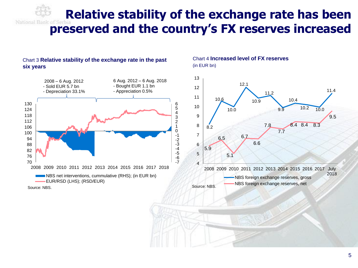**Relative stability of the exchange rate has been preserved and the country's FX reserves increased**

> -7 -6 -5 -4 -3 -2

#### Chart 3 **Relative stability of the exchange rate in the past six years**



#### Chart 4 **Increased level of FX reserves** (in EUR bn)

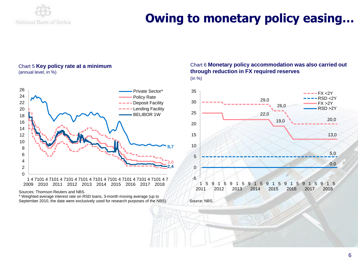

## **Owing to monetary policy easing…**

#### Chart 5 **Key policy rate at a minimum** (annual level, in %)



Sources: Thomson Reuters and NBS.

\* Weighted average interest rate on RSD loans, 3-month moving average (up to September 2010, the date were exclusively used for research purposes of the NBS).

#### Chart 6 **Monetary policy accommodation was also carried out through reduction in FX required reserves** (in %)



Source: NBS.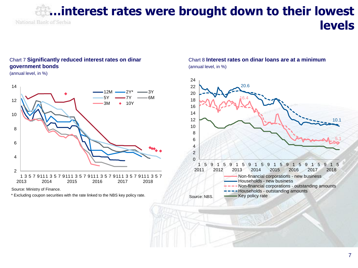### **…interest rates were brought down to their lowest**  National Bank of Serbia **levels**

#### Chart 7 **Significantly reduced interest rates on dinar government bonds**

(annual level, in %)



Source: Ministry of Finance.

\* Excluding coupon securities with the rate linked to the NBS key policy rate.

### Chart 8 **Interest rates on dinar loans are at a minimum** (annual level, in %)

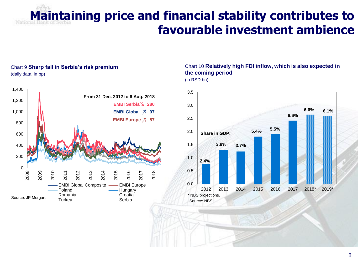# **Maintaining price and financial stability contributes to favourable investment ambience**

#### Chart 9 **Sharp fall in Serbia's risk premium** (daily data, in bp)



#### Chart 10 **Relatively high FDI inflow, which is also expected in the coming period** (in RSD bn)

**2.4% 3.8% 3.7% 5.4% 5.5% 6.6% 6.6% 6.1%** 0.0 0.5 1.0 1.5 2.0 2.5 3.0 3.5 2012 2013 2014 2015 2016 2017 2018\* 2019\* **Share in GDP:** \* NBS projections. Source: NBS.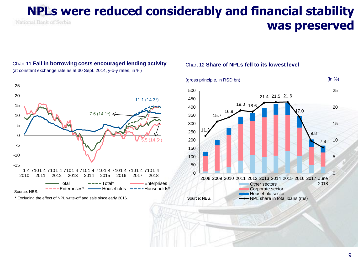### **NPLs were reduced considerably and financial stability**  National Bank of Serbia **was preserved**

#### Chart 11 **Fall in borrowing costs encouraged lending activity** (at constant exchange rate as at 30 Sept. 2014, y-o-y rates, in %)



\* Excluding the effect of NPL write-off and sale since early 2016.

#### Chart 12 **Share of NPLs fell to its lowest level**